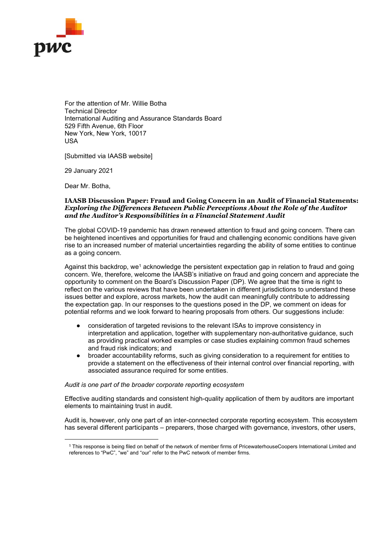

For the attention of Mr. Willie Botha Technical Director International Auditing and Assurance Standards Board 529 Fifth Avenue, 6th Floor New York, New York, 10017 USA

[Submitted via IAASB website]

29 January 2021

Dear Mr. Botha,

#### IAASB Discussion Paper: Fraud and Going Concern in an Audit of Financial Statements: Exploring the Differences Between Public Perceptions About the Role of the Auditor and the Auditor's Responsibilities in a Financial Statement Audit

The global COVID-19 pandemic has drawn renewed attention to fraud and going concern. There can be heightened incentives and opportunities for fraud and challenging economic conditions have given rise to an increased number of material uncertainties regarding the ability of some entities to continue as a going concern.

Against this backdrop, we<sup>1</sup> acknowledge the persistent expectation gap in relation to fraud and going concern. We, therefore, welcome the IAASB's initiative on fraud and going concern and appreciate the opportunity to comment on the Board's Discussion Paper (DP). We agree that the time is right to reflect on the various reviews that have been undertaken in different jurisdictions to understand these issues better and explore, across markets, how the audit can meaningfully contribute to addressing the expectation gap. In our responses to the questions posed in the DP, we comment on ideas for potential reforms and we look forward to hearing proposals from others. Our suggestions include:

- consideration of targeted revisions to the relevant ISAs to improve consistency in interpretation and application, together with supplementary non-authoritative guidance, such as providing practical worked examples or case studies explaining common fraud schemes and fraud risk indicators; and
- broader accountability reforms, such as giving consideration to a requirement for entities to provide a statement on the effectiveness of their internal control over financial reporting, with associated assurance required for some entities.

#### Audit is one part of the broader corporate reporting ecosystem

Effective auditing standards and consistent high-quality application of them by auditors are important elements to maintaining trust in audit.

Audit is, however, only one part of an inter-connected corporate reporting ecosystem. This ecosystem has several different participants – preparers, those charged with governance, investors, other users,

<sup>&</sup>lt;sup>1</sup> This response is being filed on behalf of the network of member firms of PricewaterhouseCoopers International Limited and references to "PwC", "we" and "our" refer to the PwC network of member firms.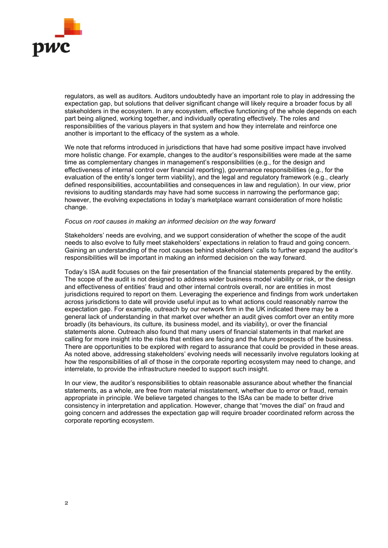

regulators, as well as auditors. Auditors undoubtedly have an important role to play in addressing the expectation gap, but solutions that deliver significant change will likely require a broader focus by all stakeholders in the ecosystem. In any ecosystem, effective functioning of the whole depends on each part being aligned, working together, and individually operating effectively. The roles and responsibilities of the various players in that system and how they interrelate and reinforce one another is important to the efficacy of the system as a whole.

We note that reforms introduced in jurisdictions that have had some positive impact have involved more holistic change. For example, changes to the auditor's responsibilities were made at the same time as complementary changes in management's responsibilities (e.g., for the design and effectiveness of internal control over financial reporting), governance responsibilities (e.g., for the evaluation of the entity's longer term viability), and the legal and regulatory framework (e.g., clearly defined responsibilities, accountabilities and consequences in law and regulation). In our view, prior revisions to auditing standards may have had some success in narrowing the performance gap; however, the evolving expectations in today's marketplace warrant consideration of more holistic change.

#### Focus on root causes in making an informed decision on the way forward

Stakeholders' needs are evolving, and we support consideration of whether the scope of the audit needs to also evolve to fully meet stakeholders' expectations in relation to fraud and going concern. Gaining an understanding of the root causes behind stakeholders' calls to further expand the auditor's responsibilities will be important in making an informed decision on the way forward.

Today's ISA audit focuses on the fair presentation of the financial statements prepared by the entity. The scope of the audit is not designed to address wider business model viability or risk, or the design and effectiveness of entities' fraud and other internal controls overall, nor are entities in most jurisdictions required to report on them. Leveraging the experience and findings from work undertaken across jurisdictions to date will provide useful input as to what actions could reasonably narrow the expectation gap. For example, outreach by our network firm in the UK indicated there may be a general lack of understanding in that market over whether an audit gives comfort over an entity more broadly (its behaviours, its culture, its business model, and its viability), or over the financial statements alone. Outreach also found that many users of financial statements in that market are calling for more insight into the risks that entities are facing and the future prospects of the business. There are opportunities to be explored with regard to assurance that could be provided in these areas. As noted above, addressing stakeholders' evolving needs will necessarily involve regulators looking at how the responsibilities of all of those in the corporate reporting ecosystem may need to change, and interrelate, to provide the infrastructure needed to support such insight.

In our view, the auditor's responsibilities to obtain reasonable assurance about whether the financial statements, as a whole, are free from material misstatement, whether due to error or fraud, remain appropriate in principle. We believe targeted changes to the ISAs can be made to better drive consistency in interpretation and application. However, change that "moves the dial" on fraud and going concern and addresses the expectation gap will require broader coordinated reform across the corporate reporting ecosystem.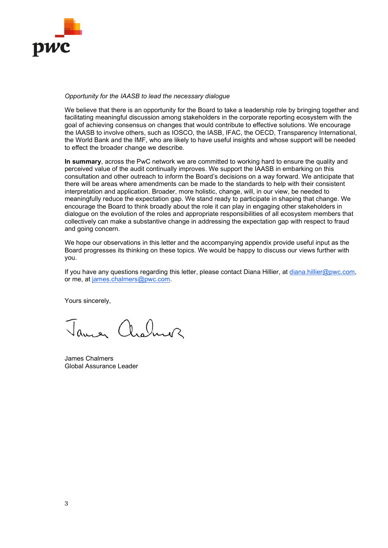

# Opportunity for the IAASB to lead the necessary dialogue

We believe that there is an opportunity for the Board to take a leadership role by bringing together and facilitating meaningful discussion among stakeholders in the corporate reporting ecosystem with the goal of achieving consensus on changes that would contribute to effective solutions. We encourage the IAASB to involve others, such as IOSCO, the IASB, IFAC, the OECD, Transparency International, the World Bank and the IMF, who are likely to have useful insights and whose support will be needed to effect the broader change we describe.

In summary, across the PwC network we are committed to working hard to ensure the quality and perceived value of the audit continually improves. We support the IAASB in embarking on this consultation and other outreach to inform the Board's decisions on a way forward. We anticipate that there will be areas where amendments can be made to the standards to help with their consistent interpretation and application. Broader, more holistic, change, will, in our view, be needed to meaningfully reduce the expectation gap. We stand ready to participate in shaping that change. We encourage the Board to think broadly about the role it can play in engaging other stakeholders in dialogue on the evolution of the roles and appropriate responsibilities of all ecosystem members that collectively can make a substantive change in addressing the expectation gap with respect to fraud and going concern.

We hope our observations in this letter and the accompanying appendix provide useful input as the Board progresses its thinking on these topics. We would be happy to discuss our views further with you.

If you have any questions regarding this letter, please contact Diana Hillier, at diana.hillier@pwc.com, or me, at james.chalmers@pwc.com.

Yours sincerely,

James archiver

James Chalmers Global Assurance Leader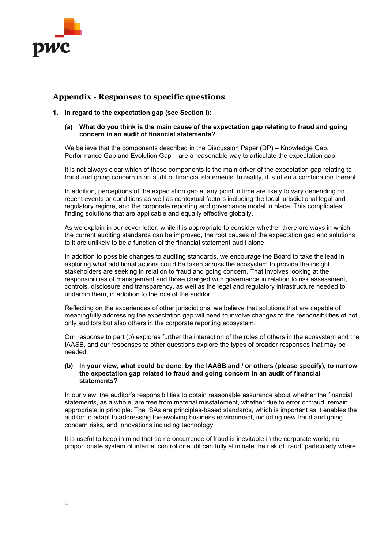

# Appendix - Responses to specific questions

# 1. In regard to the expectation gap (see Section I):

## (a) What do you think is the main cause of the expectation gap relating to fraud and going concern in an audit of financial statements?

We believe that the components described in the Discussion Paper (DP) – Knowledge Gap, Performance Gap and Evolution Gap – are a reasonable way to articulate the expectation gap.

It is not always clear which of these components is the main driver of the expectation gap relating to fraud and going concern in an audit of financial statements. In reality, it is often a combination thereof.

In addition, perceptions of the expectation gap at any point in time are likely to vary depending on recent events or conditions as well as contextual factors including the local jurisdictional legal and regulatory regime, and the corporate reporting and governance model in place. This complicates finding solutions that are applicable and equally effective globally.

As we explain in our cover letter, while it is appropriate to consider whether there are ways in which the current auditing standards can be improved, the root causes of the expectation gap and solutions to it are unlikely to be a function of the financial statement audit alone.

In addition to possible changes to auditing standards, we encourage the Board to take the lead in exploring what additional actions could be taken across the ecosystem to provide the insight stakeholders are seeking in relation to fraud and going concern. That involves looking at the responsibilities of management and those charged with governance in relation to risk assessment, controls, disclosure and transparency, as well as the legal and regulatory infrastructure needed to underpin them, in addition to the role of the auditor.

Reflecting on the experiences of other jurisdictions, we believe that solutions that are capable of meaningfully addressing the expectation gap will need to involve changes to the responsibilities of not only auditors but also others in the corporate reporting ecosystem.

Our response to part (b) explores further the interaction of the roles of others in the ecosystem and the IAASB, and our responses to other questions explore the types of broader responses that may be needed.

## (b) In your view, what could be done, by the IAASB and / or others (please specify), to narrow the expectation gap related to fraud and going concern in an audit of financial statements?

In our view, the auditor's responsibilities to obtain reasonable assurance about whether the financial statements, as a whole, are free from material misstatement, whether due to error or fraud, remain appropriate in principle. The ISAs are principles-based standards, which is important as it enables the auditor to adapt to addressing the evolving business environment, including new fraud and going concern risks, and innovations including technology.

It is useful to keep in mind that some occurrence of fraud is inevitable in the corporate world; no proportionate system of internal control or audit can fully eliminate the risk of fraud, particularly where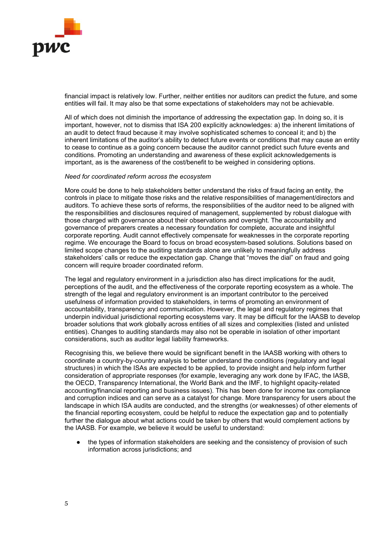

financial impact is relatively low. Further, neither entities nor auditors can predict the future, and some entities will fail. It may also be that some expectations of stakeholders may not be achievable.

All of which does not diminish the importance of addressing the expectation gap. In doing so, it is important, however, not to dismiss that ISA 200 explicitly acknowledges: a) the inherent limitations of an audit to detect fraud because it may involve sophisticated schemes to conceal it; and b) the inherent limitations of the auditor's ability to detect future events or conditions that may cause an entity to cease to continue as a going concern because the auditor cannot predict such future events and conditions. Promoting an understanding and awareness of these explicit acknowledgements is important, as is the awareness of the cost/benefit to be weighed in considering options.

#### Need for coordinated reform across the ecosystem

More could be done to help stakeholders better understand the risks of fraud facing an entity, the controls in place to mitigate those risks and the relative responsibilities of management/directors and auditors. To achieve these sorts of reforms, the responsibilities of the auditor need to be aligned with the responsibilities and disclosures required of management, supplemented by robust dialogue with those charged with governance about their observations and oversight. The accountability and governance of preparers creates a necessary foundation for complete, accurate and insightful corporate reporting. Audit cannot effectively compensate for weaknesses in the corporate reporting regime. We encourage the Board to focus on broad ecosystem-based solutions. Solutions based on limited scope changes to the auditing standards alone are unlikely to meaningfully address stakeholders' calls or reduce the expectation gap. Change that "moves the dial" on fraud and going concern will require broader coordinated reform.

The legal and regulatory environment in a jurisdiction also has direct implications for the audit, perceptions of the audit, and the effectiveness of the corporate reporting ecosystem as a whole. The strength of the legal and regulatory environment is an important contributor to the perceived usefulness of information provided to stakeholders, in terms of promoting an environment of accountability, transparency and communication. However, the legal and regulatory regimes that underpin individual jurisdictional reporting ecosystems vary. It may be difficult for the IAASB to develop broader solutions that work globally across entities of all sizes and complexities (listed and unlisted entities). Changes to auditing standards may also not be operable in isolation of other important considerations, such as auditor legal liability frameworks.

Recognising this, we believe there would be significant benefit in the IAASB working with others to coordinate a country-by-country analysis to better understand the conditions (regulatory and legal structures) in which the ISAs are expected to be applied, to provide insight and help inform further consideration of appropriate responses (for example, leveraging any work done by IFAC, the IASB, the OECD, Transparency International, the World Bank and the IMF, to highlight opacity-related accounting/financial reporting and business issues). This has been done for income tax compliance and corruption indices and can serve as a catalyst for change. More transparency for users about the landscape in which ISA audits are conducted, and the strengths (or weaknesses) of other elements of the financial reporting ecosystem, could be helpful to reduce the expectation gap and to potentially further the dialogue about what actions could be taken by others that would complement actions by the IAASB. For example, we believe it would be useful to understand:

the types of information stakeholders are seeking and the consistency of provision of such information across jurisdictions; and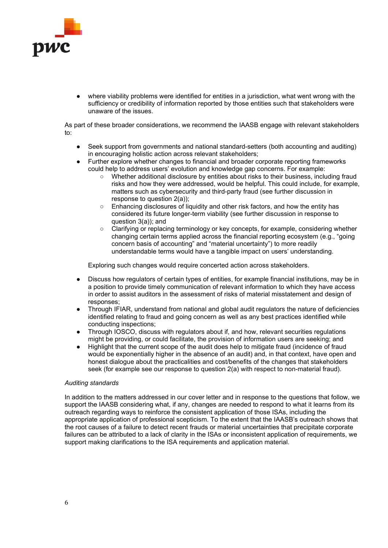

where viability problems were identified for entities in a jurisdiction, what went wrong with the sufficiency or credibility of information reported by those entities such that stakeholders were unaware of the issues.

As part of these broader considerations, we recommend the IAASB engage with relevant stakeholders to:

- Seek support from governments and national standard-setters (both accounting and auditing) in encouraging holistic action across relevant stakeholders;
- Further explore whether changes to financial and broader corporate reporting frameworks could help to address users' evolution and knowledge gap concerns. For example:
	- Whether additional disclosure by entities about risks to their business, including fraud risks and how they were addressed, would be helpful. This could include, for example, matters such as cybersecurity and third-party fraud (see further discussion in response to question 2(a));
	- $\circ$  Enhancing disclosures of liquidity and other risk factors, and how the entity has considered its future longer-term viability (see further discussion in response to question 3(a)); and
	- Clarifying or replacing terminology or key concepts, for example, considering whether changing certain terms applied across the financial reporting ecosystem (e.g., "going concern basis of accounting" and "material uncertainty") to more readily understandable terms would have a tangible impact on users' understanding.

Exploring such changes would require concerted action across stakeholders.

- Discuss how regulators of certain types of entities, for example financial institutions, may be in a position to provide timely communication of relevant information to which they have access in order to assist auditors in the assessment of risks of material misstatement and design of responses;
- Through IFIAR, understand from national and global audit regulators the nature of deficiencies identified relating to fraud and going concern as well as any best practices identified while conducting inspections;
- Through IOSCO, discuss with regulators about if, and how, relevant securities regulations might be providing, or could facilitate, the provision of information users are seeking; and
- Highlight that the current scope of the audit does help to mitigate fraud (incidence of fraud would be exponentially higher in the absence of an audit) and, in that context, have open and honest dialogue about the practicalities and cost/benefits of the changes that stakeholders seek (for example see our response to question 2(a) with respect to non-material fraud).

## Auditing standards

In addition to the matters addressed in our cover letter and in response to the questions that follow, we support the IAASB considering what, if any, changes are needed to respond to what it learns from its outreach regarding ways to reinforce the consistent application of those ISAs, including the appropriate application of professional scepticism. To the extent that the IAASB's outreach shows that the root causes of a failure to detect recent frauds or material uncertainties that precipitate corporate failures can be attributed to a lack of clarity in the ISAs or inconsistent application of requirements, we support making clarifications to the ISA requirements and application material.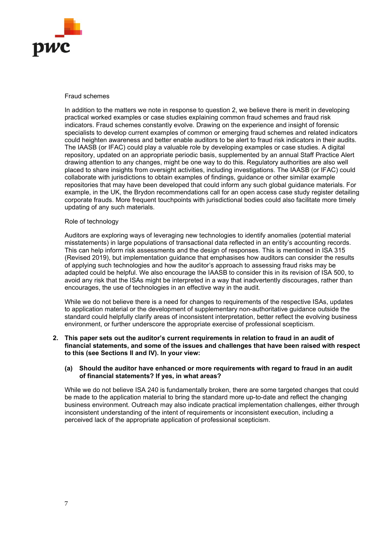

#### Fraud schemes

In addition to the matters we note in response to question 2, we believe there is merit in developing practical worked examples or case studies explaining common fraud schemes and fraud risk indicators. Fraud schemes constantly evolve. Drawing on the experience and insight of forensic specialists to develop current examples of common or emerging fraud schemes and related indicators could heighten awareness and better enable auditors to be alert to fraud risk indicators in their audits. The IAASB (or IFAC) could play a valuable role by developing examples or case studies. A digital repository, updated on an appropriate periodic basis, supplemented by an annual Staff Practice Alert drawing attention to any changes, might be one way to do this. Regulatory authorities are also well placed to share insights from oversight activities, including investigations. The IAASB (or IFAC) could collaborate with jurisdictions to obtain examples of findings, guidance or other similar example repositories that may have been developed that could inform any such global guidance materials. For example, in the UK, the Brydon recommendations call for an open access case study register detailing corporate frauds. More frequent touchpoints with jurisdictional bodies could also facilitate more timely updating of any such materials.

#### Role of technology

Auditors are exploring ways of leveraging new technologies to identify anomalies (potential material misstatements) in large populations of transactional data reflected in an entity's accounting records. This can help inform risk assessments and the design of responses. This is mentioned in ISA 315 (Revised 2019), but implementation guidance that emphasises how auditors can consider the results of applying such technologies and how the auditor's approach to assessing fraud risks may be adapted could be helpful. We also encourage the IAASB to consider this in its revision of ISA 500, to avoid any risk that the ISAs might be interpreted in a way that inadvertently discourages, rather than encourages, the use of technologies in an effective way in the audit.

While we do not believe there is a need for changes to requirements of the respective ISAs, updates to application material or the development of supplementary non-authoritative guidance outside the standard could helpfully clarify areas of inconsistent interpretation, better reflect the evolving business environment, or further underscore the appropriate exercise of professional scepticism.

## 2. This paper sets out the auditor's current requirements in relation to fraud in an audit of financial statements, and some of the issues and challenges that have been raised with respect to this (see Sections II and IV). In your view:

## (a) Should the auditor have enhanced or more requirements with regard to fraud in an audit of financial statements? If yes, in what areas?

While we do not believe ISA 240 is fundamentally broken, there are some targeted changes that could be made to the application material to bring the standard more up-to-date and reflect the changing business environment. Outreach may also indicate practical implementation challenges, either through inconsistent understanding of the intent of requirements or inconsistent execution, including a perceived lack of the appropriate application of professional scepticism.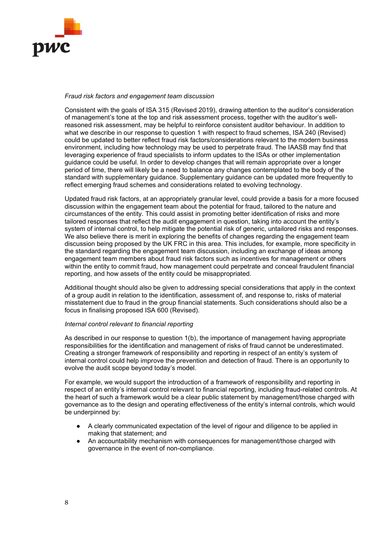

## Fraud risk factors and engagement team discussion

Consistent with the goals of ISA 315 (Revised 2019), drawing attention to the auditor's consideration of management's tone at the top and risk assessment process, together with the auditor's wellreasoned risk assessment, may be helpful to reinforce consistent auditor behaviour. In addition to what we describe in our response to question 1 with respect to fraud schemes, ISA 240 (Revised) could be updated to better reflect fraud risk factors/considerations relevant to the modern business environment, including how technology may be used to perpetrate fraud. The IAASB may find that leveraging experience of fraud specialists to inform updates to the ISAs or other implementation guidance could be useful. In order to develop changes that will remain appropriate over a longer period of time, there will likely be a need to balance any changes contemplated to the body of the standard with supplementary guidance. Supplementary guidance can be updated more frequently to reflect emerging fraud schemes and considerations related to evolving technology.

Updated fraud risk factors, at an appropriately granular level, could provide a basis for a more focused discussion within the engagement team about the potential for fraud, tailored to the nature and circumstances of the entity. This could assist in promoting better identification of risks and more tailored responses that reflect the audit engagement in question, taking into account the entity's system of internal control, to help mitigate the potential risk of generic, untailored risks and responses. We also believe there is merit in exploring the benefits of changes regarding the engagement team discussion being proposed by the UK FRC in this area. This includes, for example, more specificity in the standard regarding the engagement team discussion, including an exchange of ideas among engagement team members about fraud risk factors such as incentives for management or others within the entity to commit fraud, how management could perpetrate and conceal fraudulent financial reporting, and how assets of the entity could be misappropriated.

Additional thought should also be given to addressing special considerations that apply in the context of a group audit in relation to the identification, assessment of, and response to, risks of material misstatement due to fraud in the group financial statements. Such considerations should also be a focus in finalising proposed ISA 600 (Revised).

## Internal control relevant to financial reporting

As described in our response to question 1(b), the importance of management having appropriate responsibilities for the identification and management of risks of fraud cannot be underestimated. Creating a stronger framework of responsibility and reporting in respect of an entity's system of internal control could help improve the prevention and detection of fraud. There is an opportunity to evolve the audit scope beyond today's model.

For example, we would support the introduction of a framework of responsibility and reporting in respect of an entity's internal control relevant to financial reporting, including fraud-related controls. At the heart of such a framework would be a clear public statement by management/those charged with governance as to the design and operating effectiveness of the entity's internal controls, which would be underpinned by:

- A clearly communicated expectation of the level of rigour and diligence to be applied in making that statement; and
- An accountability mechanism with consequences for management/those charged with governance in the event of non-compliance.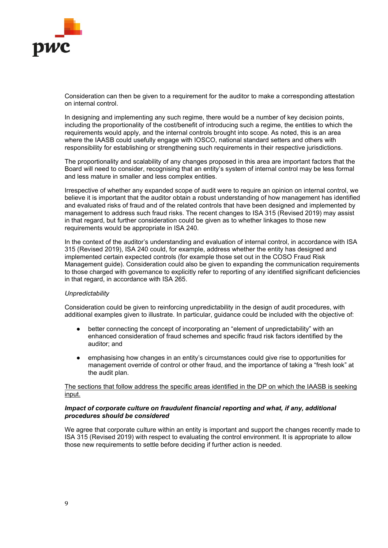

Consideration can then be given to a requirement for the auditor to make a corresponding attestation on internal control.

In designing and implementing any such regime, there would be a number of key decision points, including the proportionality of the cost/benefit of introducing such a regime, the entities to which the requirements would apply, and the internal controls brought into scope. As noted, this is an area where the IAASB could usefully engage with IOSCO, national standard setters and others with responsibility for establishing or strengthening such requirements in their respective jurisdictions.

The proportionality and scalability of any changes proposed in this area are important factors that the Board will need to consider, recognising that an entity's system of internal control may be less formal and less mature in smaller and less complex entities.

Irrespective of whether any expanded scope of audit were to require an opinion on internal control, we believe it is important that the auditor obtain a robust understanding of how management has identified and evaluated risks of fraud and of the related controls that have been designed and implemented by management to address such fraud risks. The recent changes to ISA 315 (Revised 2019) may assist in that regard, but further consideration could be given as to whether linkages to those new requirements would be appropriate in ISA 240.

In the context of the auditor's understanding and evaluation of internal control, in accordance with ISA 315 (Revised 2019), ISA 240 could, for example, address whether the entity has designed and implemented certain expected controls (for example those set out in the COSO Fraud Risk Management guide). Consideration could also be given to expanding the communication requirements to those charged with governance to explicitly refer to reporting of any identified significant deficiencies in that regard, in accordance with ISA 265.

## **Unpredictability**

Consideration could be given to reinforcing unpredictability in the design of audit procedures, with additional examples given to illustrate. In particular, guidance could be included with the objective of:

- better connecting the concept of incorporating an "element of unpredictability" with an enhanced consideration of fraud schemes and specific fraud risk factors identified by the auditor; and
- emphasising how changes in an entity's circumstances could give rise to opportunities for management override of control or other fraud, and the importance of taking a "fresh look" at the audit plan.

## The sections that follow address the specific areas identified in the DP on which the IAASB is seeking input.

## Impact of corporate culture on fraudulent financial reporting and what, if any, additional procedures should be considered

We agree that corporate culture within an entity is important and support the changes recently made to ISA 315 (Revised 2019) with respect to evaluating the control environment. It is appropriate to allow those new requirements to settle before deciding if further action is needed.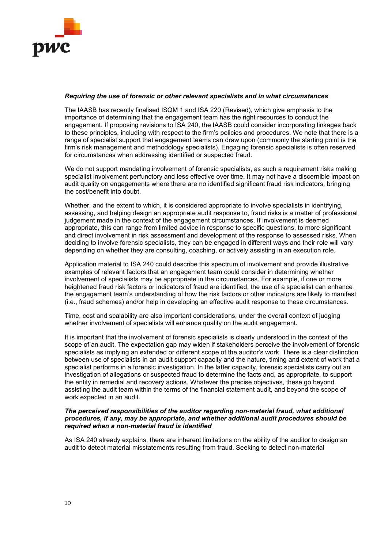

## Requiring the use of forensic or other relevant specialists and in what circumstances

The IAASB has recently finalised ISQM 1 and ISA 220 (Revised), which give emphasis to the importance of determining that the engagement team has the right resources to conduct the engagement. If proposing revisions to ISA 240, the IAASB could consider incorporating linkages back to these principles, including with respect to the firm's policies and procedures. We note that there is a range of specialist support that engagement teams can draw upon (commonly the starting point is the firm's risk management and methodology specialists). Engaging forensic specialists is often reserved for circumstances when addressing identified or suspected fraud.

We do not support mandating involvement of forensic specialists, as such a requirement risks making specialist involvement perfunctory and less effective over time. It may not have a discernible impact on audit quality on engagements where there are no identified significant fraud risk indicators, bringing the cost/benefit into doubt.

Whether, and the extent to which, it is considered appropriate to involve specialists in identifying, assessing, and helping design an appropriate audit response to, fraud risks is a matter of professional judgement made in the context of the engagement circumstances. If involvement is deemed appropriate, this can range from limited advice in response to specific questions, to more significant and direct involvement in risk assessment and development of the response to assessed risks. When deciding to involve forensic specialists, they can be engaged in different ways and their role will vary depending on whether they are consulting, coaching, or actively assisting in an execution role.

Application material to ISA 240 could describe this spectrum of involvement and provide illustrative examples of relevant factors that an engagement team could consider in determining whether involvement of specialists may be appropriate in the circumstances. For example, if one or more heightened fraud risk factors or indicators of fraud are identified, the use of a specialist can enhance the engagement team's understanding of how the risk factors or other indicators are likely to manifest (i.e., fraud schemes) and/or help in developing an effective audit response to these circumstances.

Time, cost and scalability are also important considerations, under the overall context of judging whether involvement of specialists will enhance quality on the audit engagement.

It is important that the involvement of forensic specialists is clearly understood in the context of the scope of an audit. The expectation gap may widen if stakeholders perceive the involvement of forensic specialists as implying an extended or different scope of the auditor's work. There is a clear distinction between use of specialists in an audit support capacity and the nature, timing and extent of work that a specialist performs in a forensic investigation. In the latter capacity, forensic specialists carry out an investigation of allegations or suspected fraud to determine the facts and, as appropriate, to support the entity in remedial and recovery actions. Whatever the precise objectives, these go beyond assisting the audit team within the terms of the financial statement audit, and beyond the scope of work expected in an audit.

## The perceived responsibilities of the auditor regarding non-material fraud, what additional procedures, if any, may be appropriate, and whether additional audit procedures should be required when a non-material fraud is identified

As ISA 240 already explains, there are inherent limitations on the ability of the auditor to design an audit to detect material misstatements resulting from fraud. Seeking to detect non-material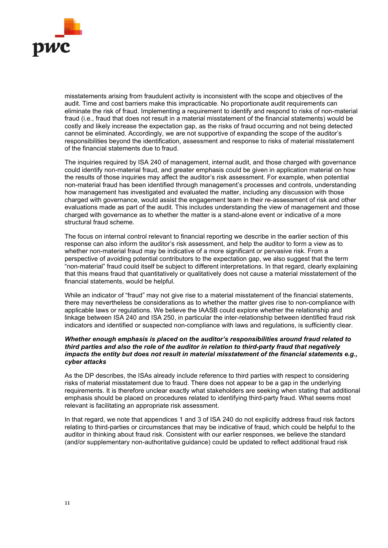

misstatements arising from fraudulent activity is inconsistent with the scope and objectives of the audit. Time and cost barriers make this impracticable. No proportionate audit requirements can eliminate the risk of fraud. Implementing a requirement to identify and respond to risks of non-material fraud (i.e., fraud that does not result in a material misstatement of the financial statements) would be costly and likely increase the expectation gap, as the risks of fraud occurring and not being detected cannot be eliminated. Accordingly, we are not supportive of expanding the scope of the auditor's responsibilities beyond the identification, assessment and response to risks of material misstatement of the financial statements due to fraud.

The inquiries required by ISA 240 of management, internal audit, and those charged with governance could identify non-material fraud, and greater emphasis could be given in application material on how the results of those inquiries may affect the auditor's risk assessment. For example, when potential non-material fraud has been identified through management's processes and controls, understanding how management has investigated and evaluated the matter, including any discussion with those charged with governance, would assist the engagement team in their re-assessment of risk and other evaluations made as part of the audit. This includes understanding the view of management and those charged with governance as to whether the matter is a stand-alone event or indicative of a more structural fraud scheme.

The focus on internal control relevant to financial reporting we describe in the earlier section of this response can also inform the auditor's risk assessment, and help the auditor to form a view as to whether non-material fraud may be indicative of a more significant or pervasive risk. From a perspective of avoiding potential contributors to the expectation gap, we also suggest that the term "non-material" fraud could itself be subject to different interpretations. In that regard, clearly explaining that this means fraud that quantitatively or qualitatively does not cause a material misstatement of the financial statements, would be helpful.

While an indicator of "fraud" may not give rise to a material misstatement of the financial statements, there may nevertheless be considerations as to whether the matter gives rise to non-compliance with applicable laws or regulations. We believe the IAASB could explore whether the relationship and linkage between ISA 240 and ISA 250, in particular the inter-relationship between identified fraud risk indicators and identified or suspected non-compliance with laws and regulations, is sufficiently clear.

## Whether enough emphasis is placed on the auditor's responsibilities around fraud related to third parties and also the role of the auditor in relation to third-party fraud that negatively impacts the entity but does not result in material misstatement of the financial statements e.g., cyber attacks

As the DP describes, the ISAs already include reference to third parties with respect to considering risks of material misstatement due to fraud. There does not appear to be a gap in the underlying requirements. It is therefore unclear exactly what stakeholders are seeking when stating that additional emphasis should be placed on procedures related to identifying third-party fraud. What seems most relevant is facilitating an appropriate risk assessment.

In that regard, we note that appendices 1 and 3 of ISA 240 do not explicitly address fraud risk factors relating to third-parties or circumstances that may be indicative of fraud, which could be helpful to the auditor in thinking about fraud risk. Consistent with our earlier responses, we believe the standard (and/or supplementary non-authoritative guidance) could be updated to reflect additional fraud risk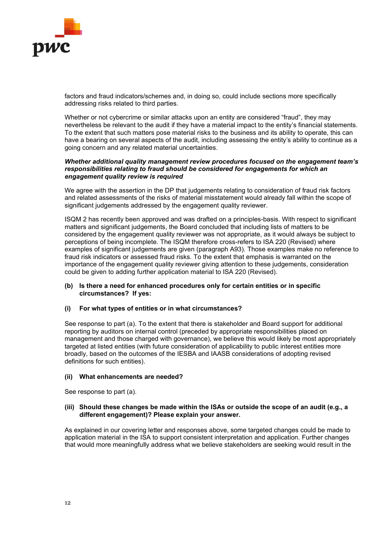

factors and fraud indicators/schemes and, in doing so, could include sections more specifically addressing risks related to third parties.

Whether or not cybercrime or similar attacks upon an entity are considered "fraud", they may nevertheless be relevant to the audit if they have a material impact to the entity's financial statements. To the extent that such matters pose material risks to the business and its ability to operate, this can have a bearing on several aspects of the audit, including assessing the entity's ability to continue as a going concern and any related material uncertainties.

## Whether additional quality management review procedures focused on the engagement team's responsibilities relating to fraud should be considered for engagements for which an engagement quality review is required

We agree with the assertion in the DP that judgements relating to consideration of fraud risk factors and related assessments of the risks of material misstatement would already fall within the scope of significant judgements addressed by the engagement quality reviewer.

ISQM 2 has recently been approved and was drafted on a principles-basis. With respect to significant matters and significant judgements, the Board concluded that including lists of matters to be considered by the engagement quality reviewer was not appropriate, as it would always be subject to perceptions of being incomplete. The ISQM therefore cross-refers to ISA 220 (Revised) where examples of significant judgements are given (paragraph A93). Those examples make no reference to fraud risk indicators or assessed fraud risks. To the extent that emphasis is warranted on the importance of the engagement quality reviewer giving attention to these judgements, consideration could be given to adding further application material to ISA 220 (Revised).

## (b) Is there a need for enhanced procedures only for certain entities or in specific circumstances? If yes:

# (i) For what types of entities or in what circumstances?

See response to part (a). To the extent that there is stakeholder and Board support for additional reporting by auditors on internal control (preceded by appropriate responsibilities placed on management and those charged with governance), we believe this would likely be most appropriately targeted at listed entities (with future consideration of applicability to public interest entities more broadly, based on the outcomes of the IESBA and IAASB considerations of adopting revised definitions for such entities).

## (ii) What enhancements are needed?

See response to part (a).

## (iii) Should these changes be made within the ISAs or outside the scope of an audit (e.g., a different engagement)? Please explain your answer.

As explained in our covering letter and responses above, some targeted changes could be made to application material in the ISA to support consistent interpretation and application. Further changes that would more meaningfully address what we believe stakeholders are seeking would result in the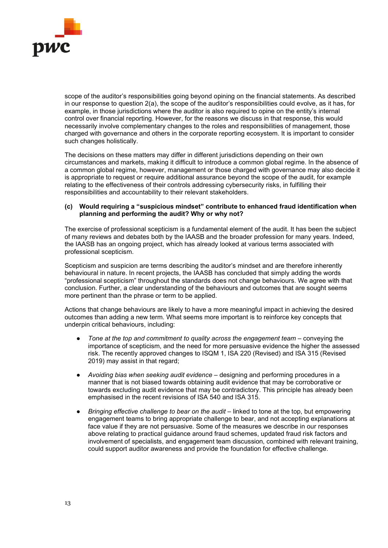

scope of the auditor's responsibilities going beyond opining on the financial statements. As described in our response to question 2(a), the scope of the auditor's responsibilities could evolve, as it has, for example, in those jurisdictions where the auditor is also required to opine on the entity's internal control over financial reporting. However, for the reasons we discuss in that response, this would necessarily involve complementary changes to the roles and responsibilities of management, those charged with governance and others in the corporate reporting ecosystem. It is important to consider such changes holistically.

The decisions on these matters may differ in different jurisdictions depending on their own circumstances and markets, making it difficult to introduce a common global regime. In the absence of a common global regime, however, management or those charged with governance may also decide it is appropriate to request or require additional assurance beyond the scope of the audit, for example relating to the effectiveness of their controls addressing cybersecurity risks, in fulfilling their responsibilities and accountability to their relevant stakeholders.

## (c) Would requiring a "suspicious mindset" contribute to enhanced fraud identification when planning and performing the audit? Why or why not?

The exercise of professional scepticism is a fundamental element of the audit. It has been the subject of many reviews and debates both by the IAASB and the broader profession for many years. Indeed, the IAASB has an ongoing project, which has already looked at various terms associated with professional scepticism.

Scepticism and suspicion are terms describing the auditor's mindset and are therefore inherently behavioural in nature. In recent projects, the IAASB has concluded that simply adding the words "professional scepticism" throughout the standards does not change behaviours. We agree with that conclusion. Further, a clear understanding of the behaviours and outcomes that are sought seems more pertinent than the phrase or term to be applied.

Actions that change behaviours are likely to have a more meaningful impact in achieving the desired outcomes than adding a new term. What seems more important is to reinforce key concepts that underpin critical behaviours, including:

- Tone at the top and commitment to quality across the engagement team  $-$  conveying the importance of scepticism, and the need for more persuasive evidence the higher the assessed risk. The recently approved changes to ISQM 1, ISA 220 (Revised) and ISA 315 (Revised 2019) may assist in that regard;
- Avoiding bias when seeking audit evidence designing and performing procedures in a manner that is not biased towards obtaining audit evidence that may be corroborative or towards excluding audit evidence that may be contradictory. This principle has already been emphasised in the recent revisions of ISA 540 and ISA 315.
- Bringing effective challenge to bear on the audit linked to tone at the top, but empowering engagement teams to bring appropriate challenge to bear, and not accepting explanations at face value if they are not persuasive. Some of the measures we describe in our responses above relating to practical guidance around fraud schemes, updated fraud risk factors and involvement of specialists, and engagement team discussion, combined with relevant training, could support auditor awareness and provide the foundation for effective challenge.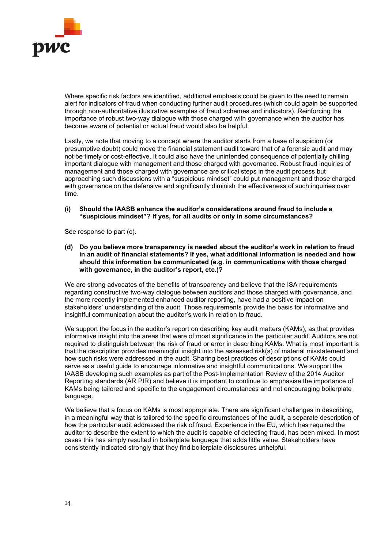

Where specific risk factors are identified, additional emphasis could be given to the need to remain alert for indicators of fraud when conducting further audit procedures (which could again be supported through non-authoritative illustrative examples of fraud schemes and indicators). Reinforcing the importance of robust two-way dialogue with those charged with governance when the auditor has become aware of potential or actual fraud would also be helpful.

Lastly, we note that moving to a concept where the auditor starts from a base of suspicion (or presumptive doubt) could move the financial statement audit toward that of a forensic audit and may not be timely or cost-effective. It could also have the unintended consequence of potentially chilling important dialogue with management and those charged with governance. Robust fraud inquiries of management and those charged with governance are critical steps in the audit process but approaching such discussions with a "suspicious mindset" could put management and those charged with governance on the defensive and significantly diminish the effectiveness of such inquiries over time.

## (i) Should the IAASB enhance the auditor's considerations around fraud to include a "suspicious mindset"? If yes, for all audits or only in some circumstances?

See response to part (c).

(d) Do you believe more transparency is needed about the auditor's work in relation to fraud in an audit of financial statements? If yes, what additional information is needed and how should this information be communicated (e.g. in communications with those charged with governance, in the auditor's report, etc.)?

We are strong advocates of the benefits of transparency and believe that the ISA requirements regarding constructive two-way dialogue between auditors and those charged with governance, and the more recently implemented enhanced auditor reporting, have had a positive impact on stakeholders' understanding of the audit. Those requirements provide the basis for informative and insightful communication about the auditor's work in relation to fraud.

We support the focus in the auditor's report on describing key audit matters (KAMs), as that provides informative insight into the areas that were of most significance in the particular audit. Auditors are not required to distinguish between the risk of fraud or error in describing KAMs. What is most important is that the description provides meaningful insight into the assessed risk(s) of material misstatement and how such risks were addressed in the audit. Sharing best practices of descriptions of KAMs could serve as a useful guide to encourage informative and insightful communications. We support the IAASB developing such examples as part of the Post-Implementation Review of the 2014 Auditor Reporting standards (AR PIR) and believe it is important to continue to emphasise the importance of KAMs being tailored and specific to the engagement circumstances and not encouraging boilerplate language.

We believe that a focus on KAMs is most appropriate. There are significant challenges in describing, in a meaningful way that is tailored to the specific circumstances of the audit, a separate description of how the particular audit addressed the risk of fraud. Experience in the EU, which has required the auditor to describe the extent to which the audit is capable of detecting fraud, has been mixed. In most cases this has simply resulted in boilerplate language that adds little value. Stakeholders have consistently indicated strongly that they find boilerplate disclosures unhelpful.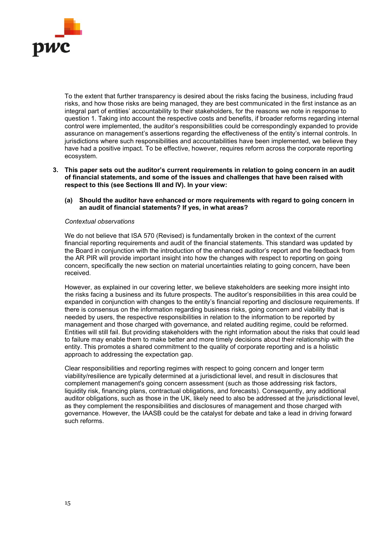

To the extent that further transparency is desired about the risks facing the business, including fraud risks, and how those risks are being managed, they are best communicated in the first instance as an integral part of entities' accountability to their stakeholders, for the reasons we note in response to question 1. Taking into account the respective costs and benefits, if broader reforms regarding internal control were implemented, the auditor's responsibilities could be correspondingly expanded to provide assurance on management's assertions regarding the effectiveness of the entity's internal controls. In jurisdictions where such responsibilities and accountabilities have been implemented, we believe they have had a positive impact. To be effective, however, requires reform across the corporate reporting ecosystem.

- 3. This paper sets out the auditor's current requirements in relation to going concern in an audit of financial statements, and some of the issues and challenges that have been raised with respect to this (see Sections III and IV). In your view:
	- (a) Should the auditor have enhanced or more requirements with regard to going concern in an audit of financial statements? If yes, in what areas?

## Contextual observations

We do not believe that ISA 570 (Revised) is fundamentally broken in the context of the current financial reporting requirements and audit of the financial statements. This standard was updated by the Board in conjunction with the introduction of the enhanced auditor's report and the feedback from the AR PIR will provide important insight into how the changes with respect to reporting on going concern, specifically the new section on material uncertainties relating to going concern, have been received.

However, as explained in our covering letter, we believe stakeholders are seeking more insight into the risks facing a business and its future prospects. The auditor's responsibilities in this area could be expanded in conjunction with changes to the entity's financial reporting and disclosure requirements. If there is consensus on the information regarding business risks, going concern and viability that is needed by users, the respective responsibilities in relation to the information to be reported by management and those charged with governance, and related auditing regime, could be reformed. Entities will still fail. But providing stakeholders with the right information about the risks that could lead to failure may enable them to make better and more timely decisions about their relationship with the entity. This promotes a shared commitment to the quality of corporate reporting and is a holistic approach to addressing the expectation gap.

Clear responsibilities and reporting regimes with respect to going concern and longer term viability/resilience are typically determined at a jurisdictional level, and result in disclosures that complement management's going concern assessment (such as those addressing risk factors, liquidity risk, financing plans, contractual obligations, and forecasts). Consequently, any additional auditor obligations, such as those in the UK, likely need to also be addressed at the jurisdictional level, as they complement the responsibilities and disclosures of management and those charged with governance. However, the IAASB could be the catalyst for debate and take a lead in driving forward such reforms.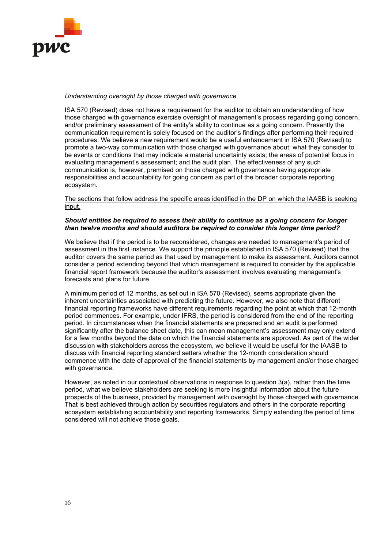

## Understanding oversight by those charged with governance

ISA 570 (Revised) does not have a requirement for the auditor to obtain an understanding of how those charged with governance exercise oversight of management's process regarding going concern, and/or preliminary assessment of the entity's ability to continue as a going concern. Presently the communication requirement is solely focused on the auditor's findings after performing their required procedures. We believe a new requirement would be a useful enhancement in ISA 570 (Revised) to promote a two-way communication with those charged with governance about: what they consider to be events or conditions that may indicate a material uncertainty exists; the areas of potential focus in evaluating management's assessment; and the audit plan. The effectiveness of any such communication is, however, premised on those charged with governance having appropriate responsibilities and accountability for going concern as part of the broader corporate reporting ecosystem.

## The sections that follow address the specific areas identified in the DP on which the IAASB is seeking input.

# Should entities be required to assess their ability to continue as a going concern for longer than twelve months and should auditors be required to consider this longer time period?

We believe that if the period is to be reconsidered, changes are needed to management's period of assessment in the first instance. We support the principle established in ISA 570 (Revised) that the auditor covers the same period as that used by management to make its assessment. Auditors cannot consider a period extending beyond that which management is required to consider by the applicable financial report framework because the auditor's assessment involves evaluating management's forecasts and plans for future.

A minimum period of 12 months, as set out in ISA 570 (Revised), seems appropriate given the inherent uncertainties associated with predicting the future. However, we also note that different financial reporting frameworks have different requirements regarding the point at which that 12-month period commences. For example, under IFRS, the period is considered from the end of the reporting period. In circumstances when the financial statements are prepared and an audit is performed significantly after the balance sheet date, this can mean management's assessment may only extend for a few months beyond the date on which the financial statements are approved. As part of the wider discussion with stakeholders across the ecosystem, we believe it would be useful for the IAASB to discuss with financial reporting standard setters whether the 12-month consideration should commence with the date of approval of the financial statements by management and/or those charged with governance.

However, as noted in our contextual observations in response to question 3(a), rather than the time period, what we believe stakeholders are seeking is more insightful information about the future prospects of the business, provided by management with oversight by those charged with governance. That is best achieved through action by securities regulators and others in the corporate reporting ecosystem establishing accountability and reporting frameworks. Simply extending the period of time considered will not achieve those goals.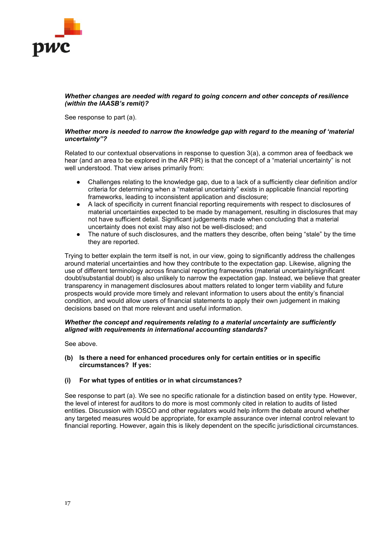

## Whether changes are needed with regard to going concern and other concepts of resilience (within the IAASB's remit)?

See response to part (a).

# Whether more is needed to narrow the knowledge gap with regard to the meaning of 'material uncertainty"?

Related to our contextual observations in response to question 3(a), a common area of feedback we hear (and an area to be explored in the AR PIR) is that the concept of a "material uncertainty" is not well understood. That view arises primarily from:

- Challenges relating to the knowledge gap, due to a lack of a sufficiently clear definition and/or criteria for determining when a "material uncertainty" exists in applicable financial reporting frameworks, leading to inconsistent application and disclosure;
- A lack of specificity in current financial reporting requirements with respect to disclosures of material uncertainties expected to be made by management, resulting in disclosures that may not have sufficient detail. Significant judgements made when concluding that a material uncertainty does not exist may also not be well-disclosed; and
- The nature of such disclosures, and the matters they describe, often being "stale" by the time they are reported.

Trying to better explain the term itself is not, in our view, going to significantly address the challenges around material uncertainties and how they contribute to the expectation gap. Likewise, aligning the use of different terminology across financial reporting frameworks (material uncertainty/significant doubt/substantial doubt) is also unlikely to narrow the expectation gap. Instead, we believe that greater transparency in management disclosures about matters related to longer term viability and future prospects would provide more timely and relevant information to users about the entity's financial condition, and would allow users of financial statements to apply their own judgement in making decisions based on that more relevant and useful information.

## Whether the concept and requirements relating to a material uncertainty are sufficiently aligned with requirements in international accounting standards?

See above.

(b) Is there a need for enhanced procedures only for certain entities or in specific circumstances? If yes:

# (i) For what types of entities or in what circumstances?

See response to part (a). We see no specific rationale for a distinction based on entity type. However, the level of interest for auditors to do more is most commonly cited in relation to audits of listed entities. Discussion with IOSCO and other regulators would help inform the debate around whether any targeted measures would be appropriate, for example assurance over internal control relevant to financial reporting. However, again this is likely dependent on the specific jurisdictional circumstances.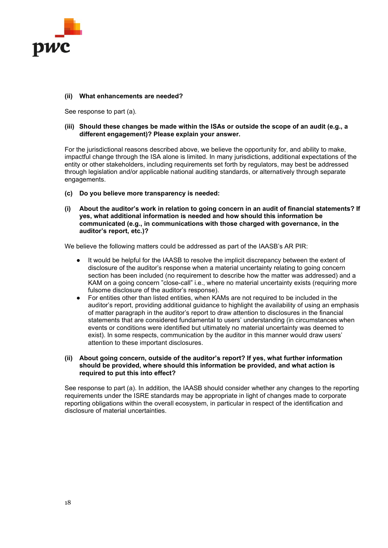

# (ii) What enhancements are needed?

See response to part (a).

## (iii) Should these changes be made within the ISAs or outside the scope of an audit (e.g., a different engagement)? Please explain your answer.

For the jurisdictional reasons described above, we believe the opportunity for, and ability to make, impactful change through the ISA alone is limited. In many jurisdictions, additional expectations of the entity or other stakeholders, including requirements set forth by regulators, may best be addressed through legislation and/or applicable national auditing standards, or alternatively through separate engagements.

- (c) Do you believe more transparency is needed:
- (i) About the auditor's work in relation to going concern in an audit of financial statements? If yes, what additional information is needed and how should this information be communicated (e.g., in communications with those charged with governance, in the auditor's report, etc.)?

We believe the following matters could be addressed as part of the IAASB's AR PIR:

- It would be helpful for the IAASB to resolve the implicit discrepancy between the extent of disclosure of the auditor's response when a material uncertainty relating to going concern section has been included (no requirement to describe how the matter was addressed) and a KAM on a going concern "close-call" i.e., where no material uncertainty exists (requiring more fulsome disclosure of the auditor's response).
- For entities other than listed entities, when KAMs are not required to be included in the auditor's report, providing additional guidance to highlight the availability of using an emphasis of matter paragraph in the auditor's report to draw attention to disclosures in the financial statements that are considered fundamental to users' understanding (in circumstances when events or conditions were identified but ultimately no material uncertainty was deemed to exist). In some respects, communication by the auditor in this manner would draw users' attention to these important disclosures.

## (ii) About going concern, outside of the auditor's report? If yes, what further information should be provided, where should this information be provided, and what action is required to put this into effect?

See response to part (a). In addition, the IAASB should consider whether any changes to the reporting requirements under the ISRE standards may be appropriate in light of changes made to corporate reporting obligations within the overall ecosystem, in particular in respect of the identification and disclosure of material uncertainties.